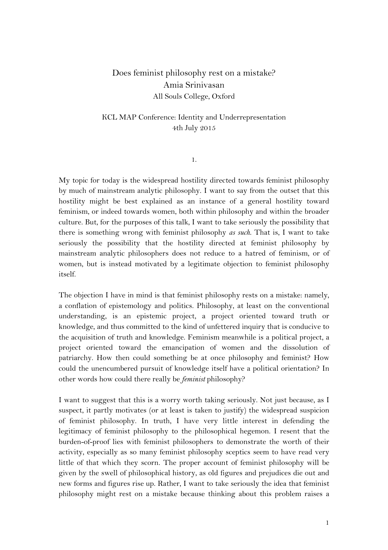## Does feminist philosophy rest on a mistake? Amia Srinivasan All Souls College, Oxford

KCL MAP Conference: Identity and Underrepresentation 4th July 2015

1.

My topic for today is the widespread hostility directed towards feminist philosophy by much of mainstream analytic philosophy. I want to say from the outset that this hostility might be best explained as an instance of a general hostility toward feminism, or indeed towards women, both within philosophy and within the broader culture. But, for the purposes of this talk, I want to take seriously the possibility that there is something wrong with feminist philosophy *as such*. That is, I want to take seriously the possibility that the hostility directed at feminist philosophy by mainstream analytic philosophers does not reduce to a hatred of feminism, or of women, but is instead motivated by a legitimate objection to feminist philosophy itself.

The objection I have in mind is that feminist philosophy rests on a mistake: namely, a conflation of epistemology and politics. Philosophy, at least on the conventional understanding, is an epistemic project, a project oriented toward truth or knowledge, and thus committed to the kind of unfettered inquiry that is conducive to the acquisition of truth and knowledge. Feminism meanwhile is a political project, a project oriented toward the emancipation of women and the dissolution of patriarchy. How then could something be at once philosophy and feminist? How could the unencumbered pursuit of knowledge itself have a political orientation? In other words how could there really be *feminist* philosophy?

I want to suggest that this is a worry worth taking seriously. Not just because, as I suspect, it partly motivates (or at least is taken to justify) the widespread suspicion of feminist philosophy. In truth, I have very little interest in defending the legitimacy of feminist philosophy to the philosophical hegemon. I resent that the burden-of-proof lies with feminist philosophers to demonstrate the worth of their activity, especially as so many feminist philosophy sceptics seem to have read very little of that which they scorn. The proper account of feminist philosophy will be given by the swell of philosophical history, as old figures and prejudices die out and new forms and figures rise up. Rather, I want to take seriously the idea that feminist philosophy might rest on a mistake because thinking about this problem raises a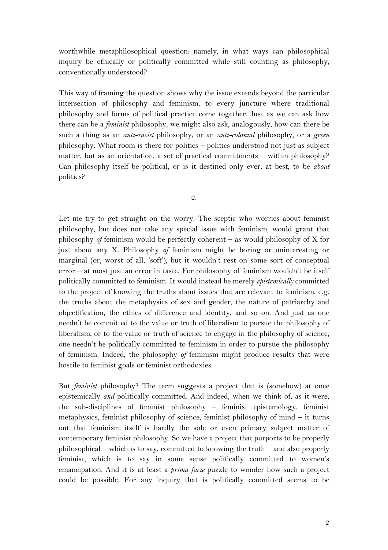worthwhile metaphilosophical question: namely, in what ways can philosophical inquiry be ethically or politically committed while still counting as philosophy, conventionally understood?

This way of framing the question shows why the issue extends beyond the particular intersection of philosophy and feminism, to every juncture where traditional philosophy and forms of political practice come together. Just as we can ask how there can be a *feminist* philosophy, we might also ask, analogously, how can there be such a thing as an *anti-racist* philosophy, or an *anti-colonial* philosophy, or a *green* philosophy. What room is there for politics – politics understood not just as subject matter, but as an orientation, a set of practical commitments – within philosophy? Can philosophy itself be political, or is it destined only ever, at best, to be *about* politics?

2.

Let me try to get straight on the worry. The sceptic who worries about feminist philosophy, but does not take any special issue with feminism, would grant that philosophy *of* feminism would be perfectly coherent – as would philosophy of X for just about any X. Philosophy *of* feminism might be boring or uninteresting or marginal (or, worst of all, 'soft'), but it wouldn't rest on some sort of conceptual error – at most just an error in taste. For philosophy of feminism wouldn't be itself politically committed to feminism. It would instead be merely *epistemically* committed to the project of knowing the truths about issues that are relevant to feminism, e.g. the truths about the metaphysics of sex and gender, the nature of patriarchy and objectification, the ethics of difference and identity, and so on. And just as one needn't be committed to the value or truth of liberalism to pursue the philosophy of liberalism, or to the value or truth of science to engage in the philosophy of science, one needn't be politically committed to feminism in order to pursue the philosophy of feminism. Indeed, the philosophy *of* feminism might produce results that were hostile to feminist goals or feminist orthodoxies.

But *feminist* philosophy? The term suggests a project that is (somehow) at once epistemically *and* politically committed. And indeed, when we think of, as it were, the sub-disciplines of feminist philosophy – feminist epistemology, feminist metaphysics, feminist philosophy of science, feminist philosophy of mind – it turns out that feminism itself is hardly the sole or even primary subject matter of contemporary feminist philosophy. So we have a project that purports to be properly philosophical – which is to say, committed to knowing the truth – and also properly feminist, which is to say in some sense politically committed to women's emancipation. And it is at least a *prima facie* puzzle to wonder how such a project could be possible. For any inquiry that is politically committed seems to be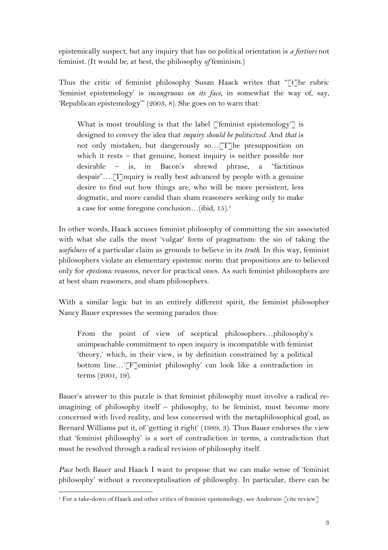epistemically suspect, but any inquiry that has no political orientation is *a fortiori* not feminist. (It would be, at best, the philosophy *of* feminism.)

Thus the critic of feminist philosophy Susan Haack writes that "[t]he rubric 'feminist epistemology' is *incongruous on its face*, in somewhat the way of, say, 'Republican epistemology'" (2003, 8). She goes on to warn that:

What is most troubling is that the label  $\ulcorner$  'feminist epistemology' $\urcorner$  is designed to convey the idea that *inquiry should be politicized*. And *that* is not only mistaken, but dangerously so...<sup>T</sup>The presupposition on which it rests – that genuine, honest inquiry is neither possible nor desirable – is, in Bacon's shrewd phrase, a "factitious despair"….[I]nquiry is really best advanced by people with a genuine desire to find out how things are, who will be more persistent, less dogmatic, and more candid than sham reasoners seeking only to make a case for some foregone conclusion…(ibid, 15).1

In other words, Haack accuses feminist philosophy of committing the sin associated with what she calls the most 'vulgar' form of pragmatism: the sin of taking the *usefulness* of a particular claim as grounds to believe in its *truth*. In this way, feminist philosophers violate an elementary epistemic norm: that propositions are to believed only for *epistemic* reasons, never for practical ones. As such feminist philosophers are at best sham reasoners, and sham philosophers.

With a similar logic but in an entirely different spirit, the feminist philosopher Nancy Bauer expresses the seeming paradox thus:

From the point of view of sceptical philosophers…philosophy's unimpeachable commitment to open inquiry is incompatible with feminist 'theory,' which, in their view, is by definition constrained by a political bottom line…'[F]eminist philosophy' can look like a contradiction in terms (2001, 19).

Bauer's answer to this puzzle is that feminist philosophy must involve a radical reimagining of philosophy itself – philosophy, to be feminist, must become more concerned with lived reality, and less concerned with the metaphilosophical goal, as Bernard Williams put it, of 'getting it right' (1989, 3). Thus Bauer endorses the view that 'feminist philosophy' is a sort of contradiction in terms, a contradiction that must be resolved through a radical revision of philosophy itself.

*Pace* both Bauer and Haack I want to propose that we can make sense of 'feminist philosophy' without a reconceptulisation of philosophy. In particular, there can be

 $\overline{a}$ 1 For a take-down of Haack and other critics of feminist epistemology, see Anderson [cite review]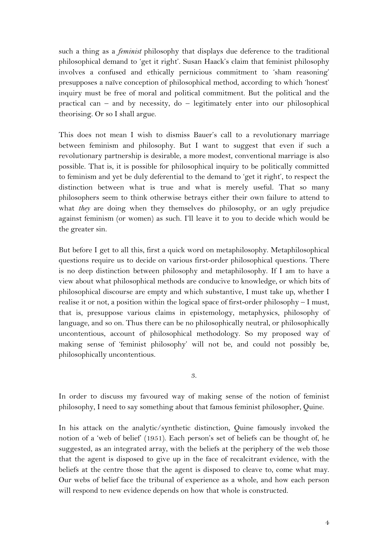such a thing as a *feminist* philosophy that displays due deference to the traditional philosophical demand to 'get it right'. Susan Haack's claim that feminist philosophy involves a confused and ethically pernicious commitment to 'sham reasoning' presupposes a naïve conception of philosophical method, according to which 'honest' inquiry must be free of moral and political commitment. But the political and the practical can – and by necessity, do – legitimately enter into our philosophical theorising. Or so I shall argue.

This does not mean I wish to dismiss Bauer's call to a revolutionary marriage between feminism and philosophy. But I want to suggest that even if such a revolutionary partnership is desirable, a more modest, conventional marriage is also possible. That is, it is possible for philosophical inquiry to be politically committed to feminism and yet be duly deferential to the demand to 'get it right', to respect the distinction between what is true and what is merely useful. That so many philosophers seem to think otherwise betrays either their own failure to attend to what *they* are doing when they themselves do philosophy, or an ugly prejudice against feminism (or women) as such. I'll leave it to you to decide which would be the greater sin.

But before I get to all this, first a quick word on metaphilosophy. Metaphilosophical questions require us to decide on various first-order philosophical questions. There is no deep distinction between philosophy and metaphilosophy. If I am to have a view about what philosophical methods are conducive to knowledge, or which bits of philosophical discourse are empty and which substantive, I must take up, whether I realise it or not, a position within the logical space of first-order philosophy – I must, that is, presuppose various claims in epistemology, metaphysics, philosophy of language, and so on. Thus there can be no philosophically neutral, or philosophically uncontentious, account of philosophical methodology. So my proposed way of making sense of 'feminist philosophy' will not be, and could not possibly be, philosophically uncontentious.

3.

In order to discuss my favoured way of making sense of the notion of feminist philosophy, I need to say something about that famous feminist philosopher, Quine.

In his attack on the analytic/synthetic distinction, Quine famously invoked the notion of a 'web of belief' (1951). Each person's set of beliefs can be thought of, he suggested, as an integrated array, with the beliefs at the periphery of the web those that the agent is disposed to give up in the face of recalcitrant evidence, with the beliefs at the centre those that the agent is disposed to cleave to, come what may. Our webs of belief face the tribunal of experience as a whole, and how each person will respond to new evidence depends on how that whole is constructed.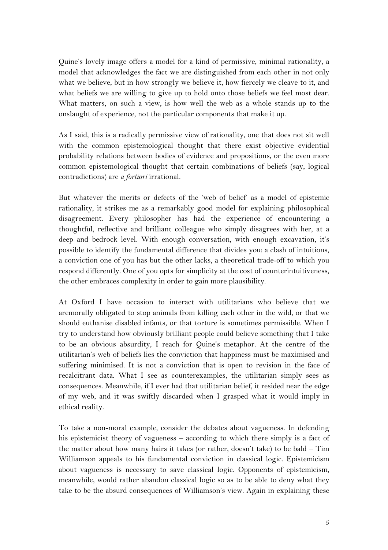Quine's lovely image offers a model for a kind of permissive, minimal rationality, a model that acknowledges the fact we are distinguished from each other in not only what we believe, but in how strongly we believe it, how fiercely we cleave to it, and what beliefs we are willing to give up to hold onto those beliefs we feel most dear. What matters, on such a view, is how well the web as a whole stands up to the onslaught of experience, not the particular components that make it up.

As I said, this is a radically permissive view of rationality, one that does not sit well with the common epistemological thought that there exist objective evidential probability relations between bodies of evidence and propositions, or the even more common epistemological thought that certain combinations of beliefs (say, logical contradictions) are *a fortiori* irrational.

But whatever the merits or defects of the 'web of belief' as a model of epistemic rationality, it strikes me as a remarkably good model for explaining philosophical disagreement. Every philosopher has had the experience of encountering a thoughtful, reflective and brilliant colleague who simply disagrees with her, at a deep and bedrock level. With enough conversation, with enough excavation, it's possible to identify the fundamental difference that divides you: a clash of intuitions, a conviction one of you has but the other lacks, a theoretical trade-off to which you respond differently. One of you opts for simplicity at the cost of counterintuitiveness, the other embraces complexity in order to gain more plausibility.

At Oxford I have occasion to interact with utilitarians who believe that we aremorally obligated to stop animals from killing each other in the wild, or that we should euthanise disabled infants, or that torture is sometimes permissible. When I try to understand how obviously brilliant people could believe something that I take to be an obvious absurdity, I reach for Quine's metaphor. At the centre of the utilitarian's web of beliefs lies the conviction that happiness must be maximised and suffering minimised. It is not a conviction that is open to revision in the face of recalcitrant data. What I see as counterexamples, the utilitarian simply sees as consequences. Meanwhile, if I ever had that utilitarian belief, it resided near the edge of my web, and it was swiftly discarded when I grasped what it would imply in ethical reality.

To take a non-moral example, consider the debates about vagueness. In defending his epistemicist theory of vagueness – according to which there simply is a fact of the matter about how many hairs it takes (or rather, doesn't take) to be bald – Tim Williamson appeals to his fundamental conviction in classical logic. Epistemicism about vagueness is necessary to save classical logic. Opponents of epistemicism, meanwhile, would rather abandon classical logic so as to be able to deny what they take to be the absurd consequences of Williamson's view. Again in explaining these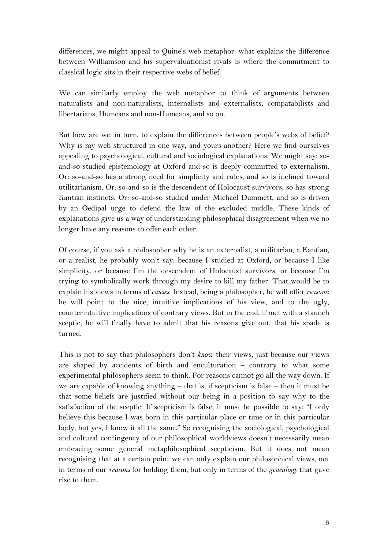differences, we might appeal to Quine's web metaphor: what explains the difference between Williamson and his supervaluationist rivals is where the commitment to classical logic sits in their respective webs of belief.

We can similarly employ the web metaphor to think of arguments between naturalists and non-naturalists, internalists and externalists, compatabilists and libertarians, Humeans and non-Humeans, and so on.

But how are we, in turn, to explain the differences between people's webs of belief? Why is my web structured in one way, and yours another? Here we find ourselves appealing to psychological, cultural and sociological explanations. We might say: soand-so studied epistemology at Oxford and so is deeply committed to externalism. Or: so-and-so has a strong need for simplicity and rules, and so is inclined toward utilitarianism. Or: so-and-so is the descendent of Holocaust survivors, so has strong Kantian instincts. Or: so-and-so studied under Michael Dummett, and so is driven by an Oedipal urge to defend the law of the excluded middle. These kinds of explanations give us a way of understanding philosophical disagreement when we no longer have any reasons to offer each other.

Of course, if you ask a philosopher why he is an externalist, a utilitarian, a Kantian, or a realist, he probably won't say: because I studied at Oxford, or because I like simplicity, or because I'm the descendent of Holocaust survivors, or because I'm trying to symbolically work through my desire to kill my father. That would be to explain his views in terms of *causes*. Instead, being a philosopher, he will offer *reasons*: he will point to the nice, intuitive implications of his view, and to the ugly, counterintuitive implications of contrary views. But in the end, if met with a staunch sceptic, he will finally have to admit that his reasons give out, that his spade is turned.

This is not to say that philosophers don't *know* their views, just because our views are shaped by accidents of birth and enculturation – contrary to what some experimental philosophers seem to think. For reasons cannot go all the way down. If we are capable of knowing anything – that is, if scepticism is false – then it must be that some beliefs are justified without our being in a position to say why to the satisfaction of the sceptic. If scepticism is false, it must be possible to say: "I only believe this because I was born in this particular place or time or in this particular body, but yes, I know it all the same." So recognising the sociological, psychological and cultural contingency of our philosophical worldviews doesn't necessarily mean embracing some general metaphilosophical scepticism. But it does not mean recognising that at a certain point we can only explain our philosophical views, not in terms of our *reasons* for holding them, but only in terms of the *genealogy* that gave rise to them.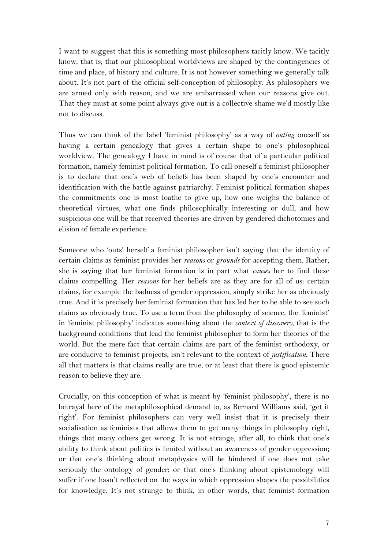I want to suggest that this is something most philosophers tacitly know. We tacitly know, that is, that our philosophical worldviews are shaped by the contingencies of time and place, of history and culture. It is not however something we generally talk about. It's not part of the official self-conception of philosophy. As philosophers we are armed only with reason, and we are embarrassed when our reasons give out. That they must at some point always give out is a collective shame we'd mostly like not to discuss.

Thus we can think of the label 'feminist philosophy' as a way of *outing* oneself as having a certain genealogy that gives a certain shape to one's philosophical worldview. The genealogy I have in mind is of course that of a particular political formation, namely feminist political formation. To call oneself a feminist philosopher is to declare that one's web of beliefs has been shaped by one's encounter and identification with the battle against patriarchy. Feminist political formation shapes the commitments one is most loathe to give up, how one weighs the balance of theoretical virtues, what one finds philosophically interesting or dull, and how suspicious one will be that received theories are driven by gendered dichotomies and elision of female experience.

Someone who 'outs' herself a feminist philosopher isn't saying that the identity of certain claims as feminist provides her *reasons* or *grounds* for accepting them. Rather, she is saying that her feminist formation is in part what *causes* her to find these claims compelling. Her *reasons* for her beliefs are as they are for all of us: certain claims, for example the badness of gender oppression, simply strike her as obviously true. And it is precisely her feminist formation that has led her to be able to see such claims as obviously true. To use a term from the philosophy of science, the 'feminist' in 'feminist philosophy' indicates something about the *context of discovery*, that is the background conditions that lead the feminist philosopher to form her theories of the world. But the mere fact that certain claims are part of the feminist orthodoxy, or are conducive to feminist projects, isn't relevant to the context of *justification*. There all that matters is that claims really are true, or at least that there is good epistemic reason to believe they are.

Crucially, on this conception of what is meant by 'feminist philosophy', there is no betrayal here of the metaphilosophical demand to, as Bernard Williams said, 'get it right'. For feminist philosophers can very well insist that it is precisely their socialisation as feminists that allows them to get many things in philosophy right, things that many others get wrong. It is not strange, after all, to think that one's ability to think about politics is limited without an awareness of gender oppression; or that one's thinking about metaphysics will be hindered if one does not take seriously the ontology of gender; or that one's thinking about epistemology will suffer if one hasn't reflected on the ways in which oppression shapes the possibilities for knowledge. It's not strange to think, in other words, that feminist formation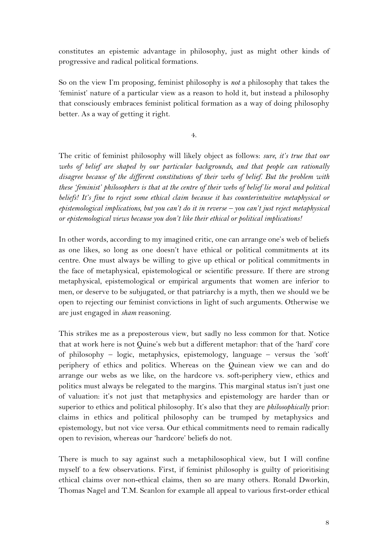constitutes an epistemic advantage in philosophy, just as might other kinds of progressive and radical political formations.

So on the view I'm proposing, feminist philosophy is *not* a philosophy that takes the 'feminist' nature of a particular view as a reason to hold it, but instead a philosophy that consciously embraces feminist political formation as a way of doing philosophy better. As a way of getting it right.

4.

The critic of feminist philosophy will likely object as follows: *sure, it's true that our webs of belief are shaped by our particular backgrounds, and that people can rationally disagree because of the different constitutions of their webs of belief. But the problem with these 'feminist' philosophers is that at the centre of their webs of belief lie moral and political beliefs! It's fine to reject some ethical claim because it has counterintuitive metaphysical or epistemological implications, but you can't do it in reverse – you can't just reject metaphysical or epistemological views because you don't like their ethical or political implications!*

In other words, according to my imagined critic, one can arrange one's web of beliefs as one likes, so long as one doesn't have ethical or political commitments at its centre. One must always be willing to give up ethical or political commitments in the face of metaphysical, epistemological or scientific pressure. If there are strong metaphysical, epistemological or empirical arguments that women are inferior to men, or deserve to be subjugated, or that patriarchy is a myth, then we should we be open to rejecting our feminist convictions in light of such arguments. Otherwise we are just engaged in *sham* reasoning.

This strikes me as a preposterous view, but sadly no less common for that. Notice that at work here is not Quine's web but a different metaphor: that of the 'hard' core of philosophy – logic, metaphysics, epistemology, language – versus the 'soft' periphery of ethics and politics. Whereas on the Quinean view we can and do arrange our webs as we like, on the hardcore vs. soft-periphery view, ethics and politics must always be relegated to the margins. This marginal status isn't just one of valuation: it's not just that metaphysics and epistemology are harder than or superior to ethics and political philosophy. It's also that they are *philosophically* prior: claims in ethics and political philosophy can be trumped by metaphysics and epistemology, but not vice versa. Our ethical commitments need to remain radically open to revision, whereas our 'hardcore' beliefs do not.

There is much to say against such a metaphilosophical view, but I will confine myself to a few observations. First, if feminist philosophy is guilty of prioritising ethical claims over non-ethical claims, then so are many others. Ronald Dworkin, Thomas Nagel and T.M. Scanlon for example all appeal to various first-order ethical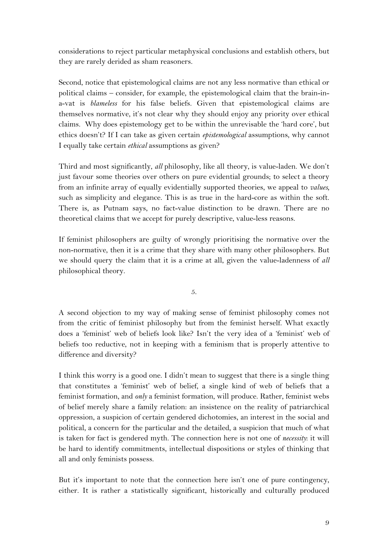considerations to reject particular metaphysical conclusions and establish others, but they are rarely derided as sham reasoners.

Second, notice that epistemological claims are not any less normative than ethical or political claims – consider, for example, the epistemological claim that the brain-ina-vat is *blameless* for his false beliefs. Given that epistemological claims are themselves normative, it's not clear why they should enjoy any priority over ethical claims. Why does epistemology get to be within the unrevisable the 'hard core', but ethics doesn't? If I can take as given certain *epistemological* assumptions, why cannot I equally take certain *ethical* assumptions as given?

Third and most significantly, *all* philosophy, like all theory, is value-laden. We don't just favour some theories over others on pure evidential grounds; to select a theory from an infinite array of equally evidentially supported theories, we appeal to *values,* such as simplicity and elegance. This is as true in the hard-core as within the soft. There is, as Putnam says, no fact-value distinction to be drawn. There are no theoretical claims that we accept for purely descriptive, value-less reasons.

If feminist philosophers are guilty of wrongly prioritising the normative over the non-normative, then it is a crime that they share with many other philosophers. But we should query the claim that it is a crime at all, given the value-ladenness of *all* philosophical theory.

5.

A second objection to my way of making sense of feminist philosophy comes not from the critic of feminist philosophy but from the feminist herself. What exactly does a 'feminist' web of beliefs look like? Isn't the very idea of a 'feminist' web of beliefs too reductive, not in keeping with a feminism that is properly attentive to difference and diversity?

I think this worry is a good one. I didn't mean to suggest that there is a single thing that constitutes a 'feminist' web of belief, a single kind of web of beliefs that a feminist formation, and *only* a feminist formation, will produce. Rather, feminist webs of belief merely share a family relation: an insistence on the reality of patriarchical oppression, a suspicion of certain gendered dichotomies, an interest in the social and political, a concern for the particular and the detailed, a suspicion that much of what is taken for fact is gendered myth. The connection here is not one of *necessity*: it will be hard to identify commitments, intellectual dispositions or styles of thinking that all and only feminists possess.

But it's important to note that the connection here isn't one of pure contingency, either. It is rather a statistically significant, historically and culturally produced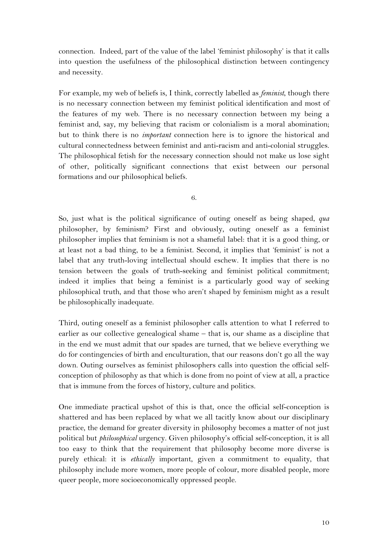connection. Indeed, part of the value of the label 'feminist philosophy' is that it calls into question the usefulness of the philosophical distinction between contingency and necessity.

For example, my web of beliefs is, I think, correctly labelled as *feminist*, though there is no necessary connection between my feminist political identification and most of the features of my web. There is no necessary connection between my being a feminist and, say, my believing that racism or colonialism is a moral abomination; but to think there is no *important* connection here is to ignore the historical and cultural connectedness between feminist and anti-racism and anti-colonial struggles. The philosophical fetish for the necessary connection should not make us lose sight of other, politically significant connections that exist between our personal formations and our philosophical beliefs.

6.

So, just what is the political significance of outing oneself as being shaped, *qua* philosopher, by feminism? First and obviously, outing oneself as a feminist philosopher implies that feminism is not a shameful label: that it is a good thing, or at least not a bad thing, to be a feminist. Second, it implies that 'feminist' is not a label that any truth-loving intellectual should eschew. It implies that there is no tension between the goals of truth-seeking and feminist political commitment; indeed it implies that being a feminist is a particularly good way of seeking philosophical truth, and that those who aren't shaped by feminism might as a result be philosophically inadequate.

Third, outing oneself as a feminist philosopher calls attention to what I referred to earlier as our collective genealogical shame – that is, our shame as a discipline that in the end we must admit that our spades are turned, that we believe everything we do for contingencies of birth and enculturation, that our reasons don't go all the way down. Outing ourselves as feminist philosophers calls into question the official selfconception of philosophy as that which is done from no point of view at all, a practice that is immune from the forces of history, culture and politics.

One immediate practical upshot of this is that, once the official self-conception is shattered and has been replaced by what we all tacitly know about our disciplinary practice, the demand for greater diversity in philosophy becomes a matter of not just political but *philosophical* urgency. Given philosophy's official self-conception, it is all too easy to think that the requirement that philosophy become more diverse is purely ethical: it is *ethically* important, given a commitment to equality, that philosophy include more women, more people of colour, more disabled people, more queer people, more socioeconomically oppressed people.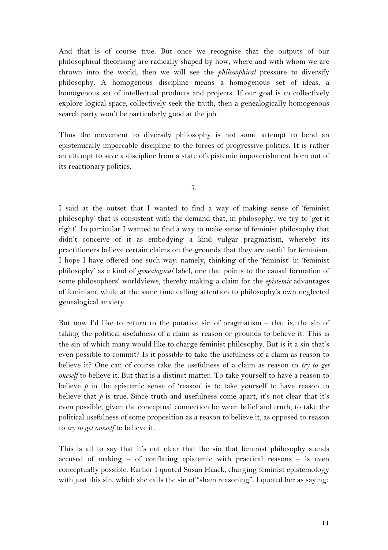And that is of course true. But once we recognise that the outputs of our philosophical theorising are radically shaped by how, where and with whom we are thrown into the world, then we will see the *philosophical* pressure to diversify philosophy. A homogenous discipline means a homogenous set of ideas, a homogenous set of intellectual products and projects. If our goal is to collectively explore logical space, collectively seek the truth, then a genealogically homogenous search party won't be particularly good at the job.

Thus the movement to diversify philosophy is not some attempt to bend an epistemically impeccable discipline to the forces of progressive politics. It is rather an attempt to save a discipline from a state of epistemic impoverishment born out of its reactionary politics.

7.

I said at the outset that I wanted to find a way of making sense of 'feminist philosophy' that is consistent with the demand that, in philosophy, we try to 'get it right'. In particular I wanted to find a way to make sense of feminist philosophy that didn't conceive of it as embodying a kind vulgar pragmatism, whereby its practitioners believe certain claims on the grounds that they are useful for feminism. I hope I have offered one such way: namely, thinking of the 'feminist' in 'feminist philosophy' as a kind of *genealogical* label, one that points to the causal formation of some philosophers' worldviews, thereby making a claim for the *epistemic* advantages of feminism, while at the same time calling attention to philosophy's own neglected genealogical anxiety.

But now I'd like to return to the putative sin of pragmatism – that is, the sin of taking the political usefulness of a claim as reason or grounds to believe it. This is the sin of which many would like to charge feminist philosophy. But is it a sin that's even possible to commit? Is it possible to take the usefulness of a claim as reason to believe it? One can of course take the usefulness of a claim as reason to *try to get oneself* to believe it. But that is a distinct matter. To take yourself to have a reason to believe  $\rho$  in the epistemic sense of 'reason' is to take yourself to have reason to believe that  $\phi$  is true. Since truth and usefulness come apart, it's not clear that it's even possible, given the conceptual connection between belief and truth, to take the political usefulness of some proposition as a reason to believe it, as opposed to reason to *try to get oneself* to believe it.

This is all to say that it's not clear that the sin that feminist philosophy stands accused of making  $-$  of conflating epistemic with practical reasons  $-$  is even conceptually possible. Earlier I quoted Susan Haack, charging feminist epistemology with just this sin, which she calls the sin of "sham reasoning". I quoted her as saying: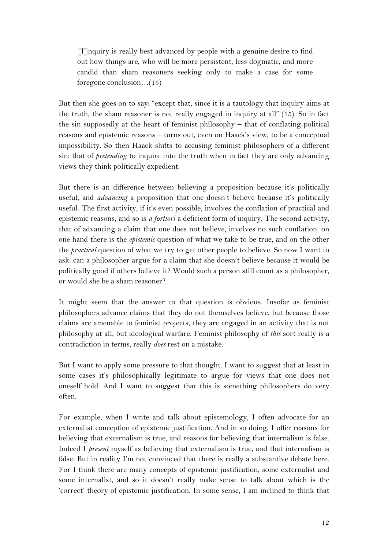[I]nquiry is really best advanced by people with a genuine desire to find out how things are, who will be more persistent, less dogmatic, and more candid than sham reasoners seeking only to make a case for some foregone conclusion…(15)

But then she goes on to say: "except that, since it is a tautology that inquiry aims at the truth, the sham reasoner is not really engaged in inquiry at all" (15). So in fact the sin supposedly at the heart of feminist philosophy – that of conflating political reasons and epistemic reasons – turns out, even on Haack's view, to be a conceptual impossibility. So then Haack shifts to accusing feminist philosophers of a different sin: that of *pretending* to inquire into the truth when in fact they are only advancing views they think politically expedient.

But there is an difference between believing a proposition because it's politically useful, and *advancing* a proposition that one doesn't believe because it's politically useful. The first activity, if it's even possible, involves the conflation of practical and epistemic reasons, and so is *a fortiori* a deficient form of inquiry. The second activity, that of advancing a claim that one does not believe, involves no such conflation: on one hand there is the *epistemic* question of what we take to be true, and on the other the *practical* question of what we try to get other people to believe. So now I want to ask: can a philosopher argue for a claim that she doesn't believe because it would be politically good if others believe it? Would such a person still count as a philosopher, or would she be a sham reasoner?

It might seem that the answer to that question is obvious. Insofar as feminist philosophers advance claims that they do not themselves believe, but because those claims are amenable to feminist projects, they are engaged in an activity that is not philosophy at all, but ideological warfare. Feminist philosophy of *this* sort really is a contradiction in terms, really *does* rest on a mistake.

But I want to apply some pressure to that thought. I want to suggest that at least in some cases it's philosophically legitimate to argue for views that one does not oneself hold. And I want to suggest that this is something philosophers do very often.

For example, when I write and talk about epistemology, I often advocate for an externalist conception of epistemic justification. And in so doing, I offer reasons for believing that externalism is true, and reasons for believing that internalism is false. Indeed I *present* myself as believing that externalism is true, and that internalism is false. But in reality I'm not convinced that there is really a substantive debate here. For I think there are many concepts of epistemic justification, some externalist and some internalist, and so it doesn't really make sense to talk about which is the 'correct' theory of epistemic justification. In some sense, I am inclined to think that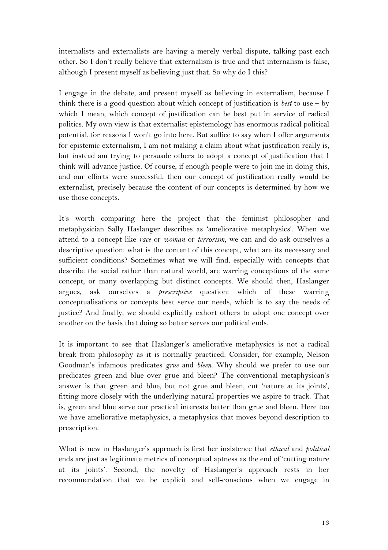internalists and externalists are having a merely verbal dispute, talking past each other. So I don't really believe that externalism is true and that internalism is false, although I present myself as believing just that. So why do I this?

I engage in the debate, and present myself as believing in externalism, because I think there is a good question about which concept of justification is *best* to use – by which I mean, which concept of justification can be best put in service of radical politics. My own view is that externalist epistemology has enormous radical political potential, for reasons I won't go into here. But suffice to say when I offer arguments for epistemic externalism, I am not making a claim about what justification really is, but instead am trying to persuade others to adopt a concept of justification that I think will advance justice. Of course, if enough people were to join me in doing this, and our efforts were successful, then our concept of justification really would be externalist, precisely because the content of our concepts is determined by how we use those concepts.

It's worth comparing here the project that the feminist philosopher and metaphysician Sally Haslanger describes as 'ameliorative metaphysics'. When we attend to a concept like *race* or *woman* or *terrorism*, we can and do ask ourselves a descriptive question: what is the content of this concept, what are its necessary and sufficient conditions? Sometimes what we will find, especially with concepts that describe the social rather than natural world, are warring conceptions of the same concept, or many overlapping but distinct concepts. We should then, Haslanger argues, ask ourselves a *prescriptive* question: which of these warring conceptualisations or concepts best serve our needs, which is to say the needs of justice? And finally, we should explicitly exhort others to adopt one concept over another on the basis that doing so better serves our political ends.

It is important to see that Haslanger's ameliorative metaphysics is not a radical break from philosophy as it is normally practiced. Consider, for example, Nelson Goodman's infamous predicates *grue* and *bleen*. Why should we prefer to use our predicates green and blue over grue and bleen? The conventional metaphysican's answer is that green and blue, but not grue and bleen, cut 'nature at its joints', fitting more closely with the underlying natural properties we aspire to track. That is, green and blue serve our practical interests better than grue and bleen. Here too we have ameliorative metaphysics, a metaphysics that moves beyond description to prescription.

What is new in Haslanger's approach is first her insistence that *ethical* and *political* ends are just as legitimate metrics of conceptual aptness as the end of 'cutting nature at its joints'. Second, the novelty of Haslanger's approach rests in her recommendation that we be explicit and self-conscious when we engage in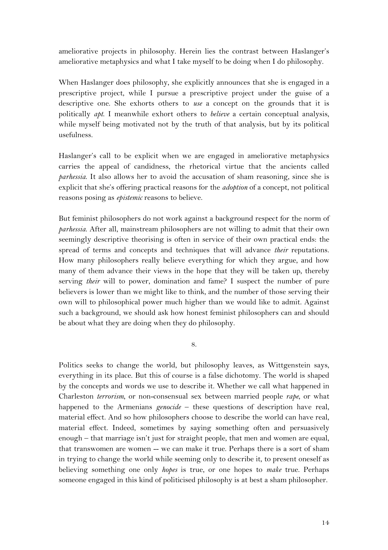ameliorative projects in philosophy. Herein lies the contrast between Haslanger's ameliorative metaphysics and what I take myself to be doing when I do philosophy.

When Haslanger does philosophy, she explicitly announces that she is engaged in a prescriptive project, while I pursue a prescriptive project under the guise of a descriptive one. She exhorts others to *use* a concept on the grounds that it is politically *apt*. I meanwhile exhort others to *believe* a certain conceptual analysis, while myself being motivated not by the truth of that analysis, but by its political usefulness.

Haslanger's call to be explicit when we are engaged in ameliorative metaphysics carries the appeal of candidness, the rhetorical virtue that the ancients called *parhessia*. It also allows her to avoid the accusation of sham reasoning, since she is explicit that she's offering practical reasons for the *adoption* of a concept, not political reasons posing as *epistemic* reasons to believe.

But feminist philosophers do not work against a background respect for the norm of *parhessia*. After all, mainstream philosophers are not willing to admit that their own seemingly descriptive theorising is often in service of their own practical ends: the spread of terms and concepts and techniques that will advance *their* reputations. How many philosophers really believe everything for which they argue, and how many of them advance their views in the hope that they will be taken up, thereby serving *their* will to power, domination and fame? I suspect the number of pure believers is lower than we might like to think, and the number of those serving their own will to philosophical power much higher than we would like to admit. Against such a background, we should ask how honest feminist philosophers can and should be about what they are doing when they do philosophy.

8.

Politics seeks to change the world, but philosophy leaves, as Wittgenstein says, everything in its place. But this of course is a false dichotomy. The world is shaped by the concepts and words we use to describe it. Whether we call what happened in Charleston *terrorism*, or non-consensual sex between married people *rape*, or what happened to the Armenians *genocide* – these questions of description have real, material effect. And so how philosophers choose to describe the world can have real, material effect. Indeed, sometimes by saying something often and persuasively enough – that marriage isn't just for straight people, that men and women are equal, that transwomen are women -- we can make it true. Perhaps there is a sort of sham in trying to change the world while seeming only to describe it, to present oneself as believing something one only *hopes* is true, or one hopes to *make* true. Perhaps someone engaged in this kind of politicised philosophy is at best a sham philosopher.